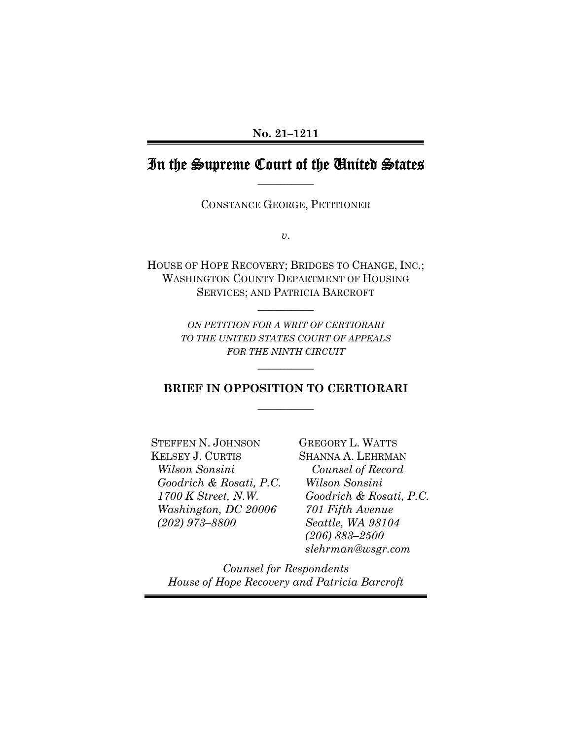#### **No. 21–1211**

# In the Supreme Court of the United States **\_\_\_\_\_\_\_\_\_\_**

CONSTANCE GEORGE, PETITIONER

*v*.

HOUSE OF HOPE RECOVERY; BRIDGES TO CHANGE, INC.; WASHINGTON COUNTY DEPARTMENT OF HOUSING SERVICES; AND PATRICIA BARCROFT

**\_\_\_\_\_\_\_\_\_\_** 

*ON PETITION FOR A WRIT OF CERTIORARI TO THE UNITED STATES COURT OF APPEALS FOR THE NINTH CIRCUIT*

## **BRIEF IN OPPOSITION TO CERTIORARI \_\_\_\_\_\_\_\_\_\_**

**\_\_\_\_\_\_\_\_\_\_** 

STEFFEN N. JOHNSON KELSEY J. CURTIS  *Wilson Sonsini Goodrich & Rosati, P.C. 1700 K Street, N.W. Washington, DC 20006 (202) 973–8800* 

GREGORY L. WATTS SHANNA A. LEHRMAN  *Counsel of Record Wilson Sonsini Goodrich & Rosati, P.C. 701 Fifth Avenue Seattle, WA 98104 (206) 883–2500 slehrman@wsgr.com*

<span id="page-0-0"></span>*Counsel for Respondents House of Hope Recovery and Patricia Barcroft*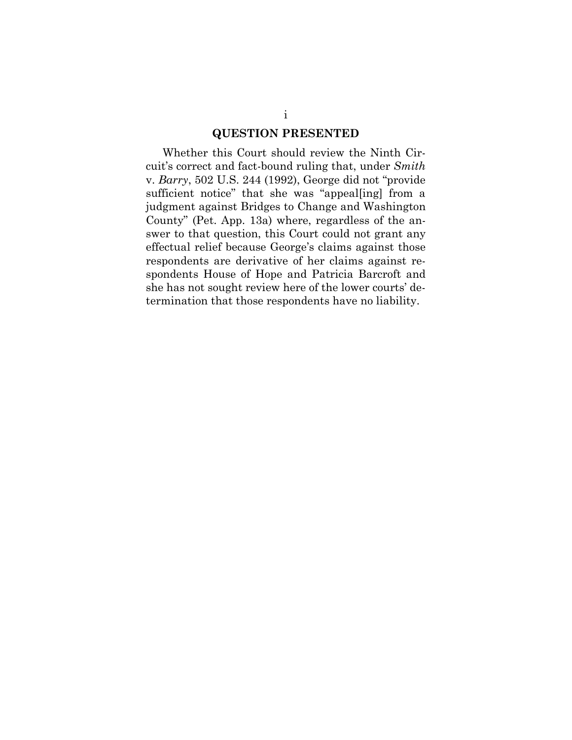#### **QUESTION PRESENTED**

Whether this Court should review the Ninth Circuit's correct and fact-bound ruling that, under *Smith*  v. *Barry*, 502 U.S. 244 (1992), George did not "provide sufficient notice" that she was "appeal[ing] from a judgment against Bridges to Change and Washington County" (Pet. App. 13a) where, regardless of the answer to that question, this Court could not grant any effectual relief because George's claims against those respondents are derivative of her claims against respondents House of Hope and Patricia Barcroft and she has not sought review here of the lower courts' determination that those respondents have no liability.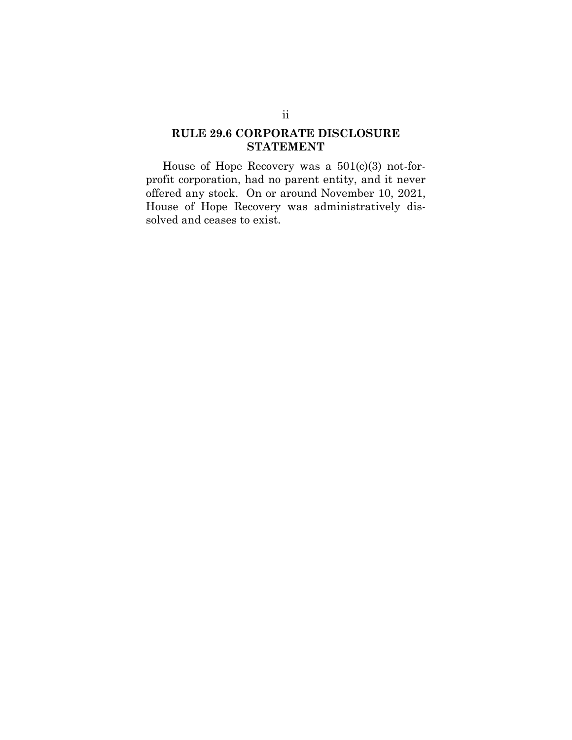## <span id="page-2-0"></span>**RULE 29.6 CORPORATE DISCLOSURE STATEMENT**

House of Hope Recovery was a 501(c)(3) not-forprofit corporation, had no parent entity, and it never offered any stock. On or around November 10, 2021, House of Hope Recovery was administratively dissolved and ceases to exist.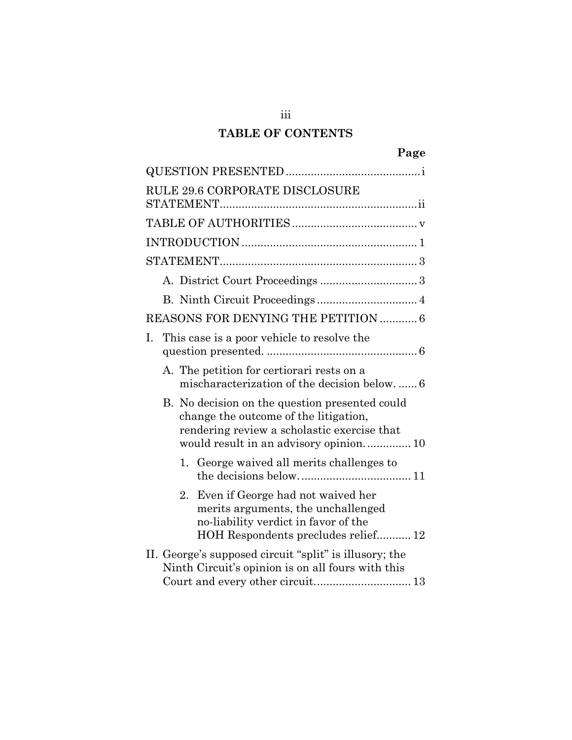# **TABLE OF CONTENTS**

iii

| RULE 29.6 CORPORATE DISCLOSURE                                                                                                                                                   |
|----------------------------------------------------------------------------------------------------------------------------------------------------------------------------------|
|                                                                                                                                                                                  |
|                                                                                                                                                                                  |
|                                                                                                                                                                                  |
|                                                                                                                                                                                  |
|                                                                                                                                                                                  |
| REASONS FOR DENYING THE PETITION  6                                                                                                                                              |
| This case is a poor vehicle to resolve the<br>Ι.                                                                                                                                 |
| A. The petition for certiorari rests on a<br>mischaracterization of the decision below6                                                                                          |
| B. No decision on the question presented could<br>change the outcome of the litigation,<br>rendering review a scholastic exercise that<br>would result in an advisory opinion 10 |
| 1. George waived all merits challenges to                                                                                                                                        |
| Even if George had not waived her<br>2.<br>merits arguments, the unchallenged<br>no-liability verdict in favor of the<br>HOH Respondents precludes relief 12                     |
| II. George's supposed circuit "split" is illusory; the<br>Ninth Circuit's opinion is on all fours with this<br>Court and every other circuit 13                                  |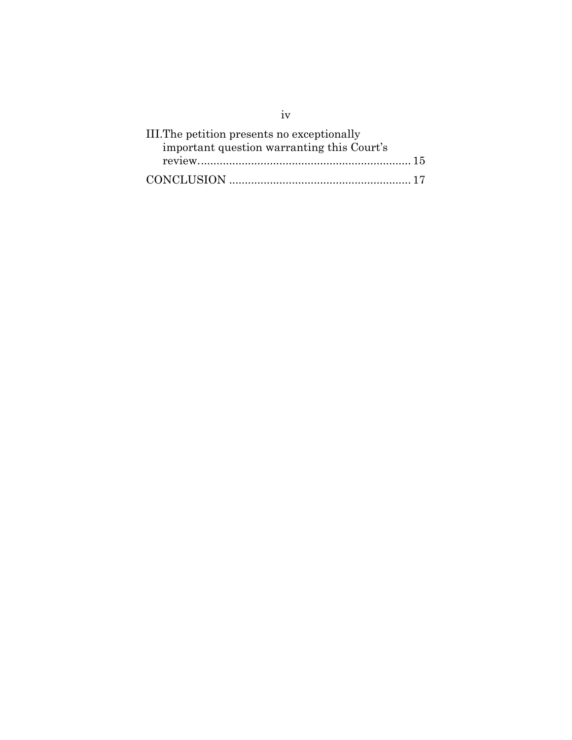| III. The petition presents no exceptionally |
|---------------------------------------------|
| important question warranting this Court's  |
|                                             |
|                                             |

iv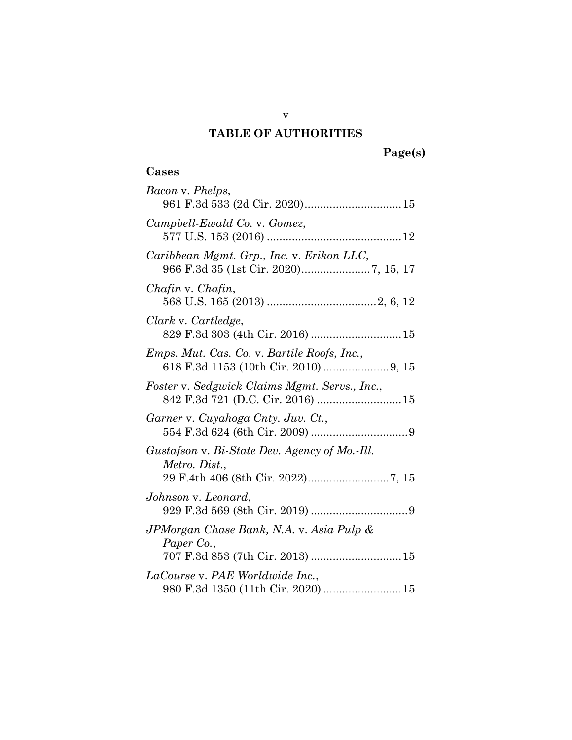# **TABLE OF AUTHORITIES**

# **Page(s)**

# <span id="page-5-0"></span>**Cases**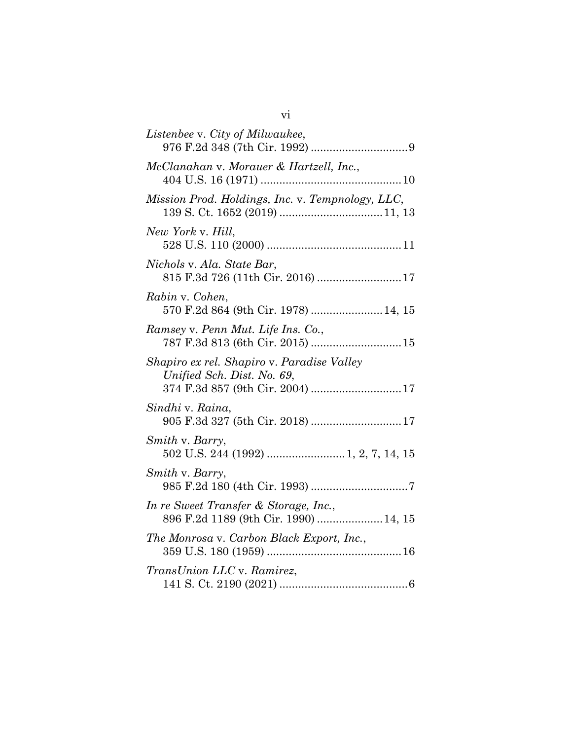| Listenbee v. City of Milwaukee,                                                                              |
|--------------------------------------------------------------------------------------------------------------|
| McClanahan v. Morauer & Hartzell, Inc.,                                                                      |
| Mission Prod. Holdings, Inc. v. Tempnology, LLC,                                                             |
| New York v. Hill,                                                                                            |
| Nichols v. Ala. State Bar,<br>815 F.3d 726 (11th Cir. 2016)  17                                              |
| Rabin v. Cohen,<br>570 F.2d 864 (9th Cir. 1978)  14, 15                                                      |
| Ramsey v. Penn Mut. Life Ins. Co.,<br>787 F.3d 813 (6th Cir. 2015)  15                                       |
| Shapiro ex rel. Shapiro v. Paradise Valley<br>Unified Sch. Dist. No. 69,<br>374 F.3d 857 (9th Cir. 2004)  17 |
| Sindhi v. Raina,<br>905 F.3d 327 (5th Cir. 2018)  17                                                         |
| Smith v. Barry,                                                                                              |
| Smith v. Barry,                                                                                              |
| In re Sweet Transfer & Storage, Inc.,<br>896 F.2d 1189 (9th Cir. 1990)  14, 15                               |
| The Monrosa v. Carbon Black Export, Inc.,                                                                    |
| <i>TransUnion LLC</i> v. Ramirez,                                                                            |
|                                                                                                              |

| ×<br>I |
|--------|
| w      |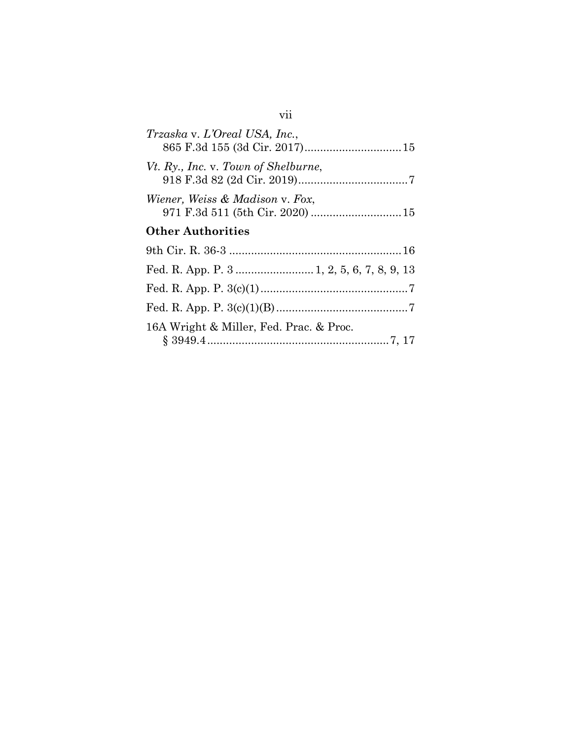| Trzaska v. L'Oreal USA, Inc.,              |
|--------------------------------------------|
| Vt. Ry., Inc. v. Town of Shelburne,        |
| <i>Wiener, Weiss &amp; Madison v. Fox,</i> |
| <b>Other Authorities</b>                   |
|                                            |
|                                            |
|                                            |
|                                            |
| 16A Wright & Miller, Fed. Prac. & Proc.    |

# vii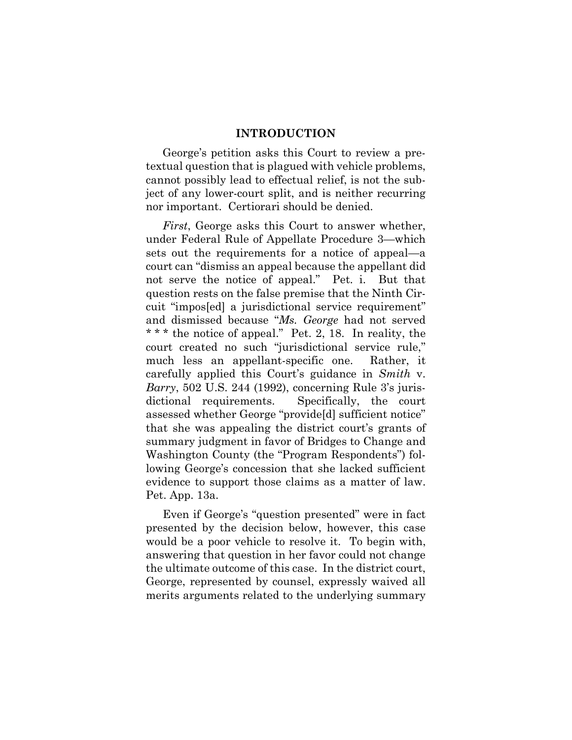### **INTRODUCTION**

<span id="page-8-0"></span>George's petition asks this Court to review a pretextual question that is plagued with vehicle problems, cannot possibly lead to effectual relief, is not the subject of any lower-court split, and is neither recurring nor important. Certiorari should be denied.

<span id="page-8-2"></span>*First*, George asks this Court to answer whether, under Federal Rule of Appellate Procedure 3—which sets out the requirements for a notice of appeal—a court can "dismiss an appeal because the appellant did not serve the notice of appeal." Pet. i. But that question rests on the false premise that the Ninth Circuit "impos[ed] a jurisdictional service requirement" and dismissed because "*Ms. George* had not served \* \* \* the notice of appeal." Pet. 2, 18. In reality, the court created no such "jurisdictional service rule," much less an appellant-specific one. Rather, it carefully applied this Court's guidance in *Smith* v. *Barry*, 502 U.S. 244 (1992), concerning Rule 3's jurisdictional requirements. Specifically, the court assessed whether George "provide[d] sufficient notice" that she was appealing the district court's grants of summary judgment in favor of Bridges to Change and Washington County (the "Program Respondents") following George's concession that she lacked sufficient evidence to support those claims as a matter of law. Pet. App. 13a.

<span id="page-8-1"></span>Even if George's "question presented" were in fact presented by the decision below, however, this case would be a poor vehicle to resolve it. To begin with, answering that question in her favor could not change the ultimate outcome of this case. In the district court, George, represented by counsel, expressly waived all merits arguments related to the underlying summary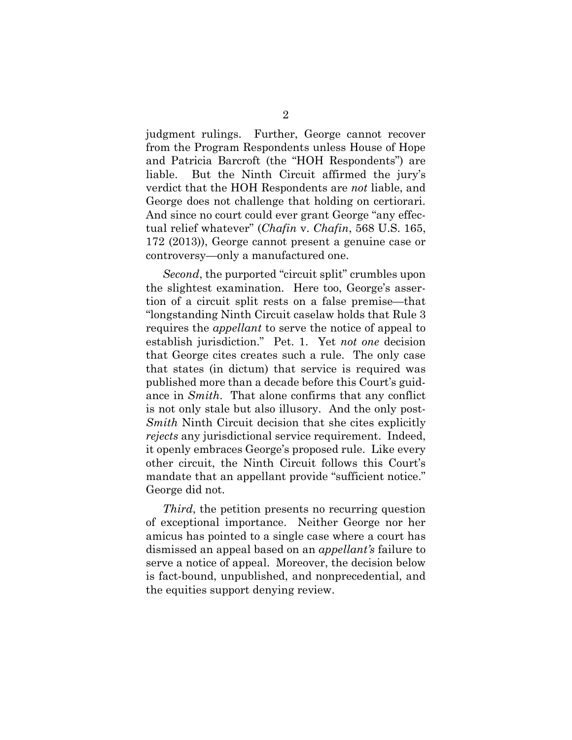judgment rulings. Further, George cannot recover from the Program Respondents unless House of Hope and Patricia Barcroft (the "HOH Respondents") are liable. But the Ninth Circuit affirmed the jury's verdict that the HOH Respondents are *not* liable, and George does not challenge that holding on certiorari. And since no court could ever grant George "any effectual relief whatever" (*Chafin* v. *Chafin*, 568 U.S. 165, 172 (2013)), George cannot present a genuine case or controversy—only a manufactured one.

<span id="page-9-2"></span><span id="page-9-0"></span>*Second*, the purported "circuit split" crumbles upon the slightest examination. Here too, George's assertion of a circuit split rests on a false premise—that "longstanding Ninth Circuit caselaw holds that Rule 3 requires the *appellant* to serve the notice of appeal to establish jurisdiction." Pet. 1. Yet *not one* decision that George cites creates such a rule. The only case that states (in dictum) that service is required was published more than a decade before this Court's guidance in *Smith*. That alone confirms that any conflict is not only stale but also illusory. And the only post-*Smith* Ninth Circuit decision that she cites explicitly *rejects* any jurisdictional service requirement. Indeed, it openly embraces George's proposed rule. Like every other circuit, the Ninth Circuit follows this Court's mandate that an appellant provide "sufficient notice." George did not.

<span id="page-9-1"></span>*Third*, the petition presents no recurring question of exceptional importance. Neither George nor her amicus has pointed to a single case where a court has dismissed an appeal based on an *appellant's* failure to serve a notice of appeal. Moreover, the decision below is fact-bound, unpublished, and nonprecedential, and the equities support denying review.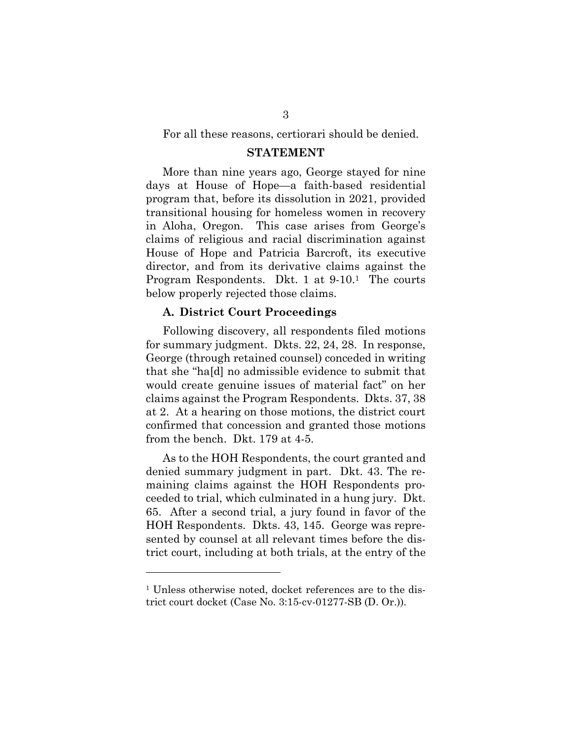For all these reasons, certiorari should be denied.

#### **STATEMENT**

<span id="page-10-0"></span>More than nine years ago, George stayed for nine days at House of Hope—a faith-based residential program that, before its dissolution in 2021, provided transitional housing for homeless women in recovery in Aloha, Oregon. This case arises from George's claims of religious and racial discrimination against House of Hope and Patricia Barcroft, its executive director, and from its derivative claims against the Program Respondents. Dkt. 1 at 9-10.1 The courts below properly rejected those claims.

#### <span id="page-10-1"></span>**A. District Court Proceedings**

Following discovery, all respondents filed motions for summary judgment. Dkts. 22, 24, 28. In response, George (through retained counsel) conceded in writing that she "ha[d] no admissible evidence to submit that would create genuine issues of material fact" on her claims against the Program Respondents. Dkts. 37, 38 at 2. At a hearing on those motions, the district court confirmed that concession and granted those motions from the bench. Dkt. 179 at 4-5.

As to the HOH Respondents, the court granted and denied summary judgment in part. Dkt. 43. The remaining claims against the HOH Respondents proceeded to trial, which culminated in a hung jury. Dkt. 65. After a second trial, a jury found in favor of the HOH Respondents. Dkts. 43, 145. George was represented by counsel at all relevant times before the district court, including at both trials, at the entry of the

<sup>&</sup>lt;sup>1</sup> Unless otherwise noted, docket references are to the district court docket (Case No. 3:15-cv-01277-SB (D. Or.)).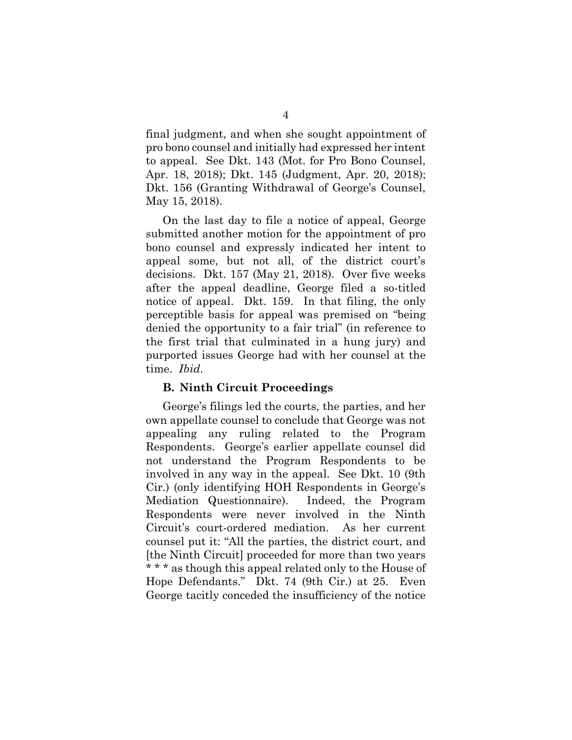final judgment, and when she sought appointment of pro bono counsel and initially had expressed her intent to appeal. See Dkt. 143 (Mot. for Pro Bono Counsel, Apr. 18, 2018); Dkt. 145 (Judgment, Apr. 20, 2018); Dkt. 156 (Granting Withdrawal of George's Counsel, May 15, 2018).

On the last day to file a notice of appeal, George submitted another motion for the appointment of pro bono counsel and expressly indicated her intent to appeal some, but not all, of the district court's decisions. Dkt. 157 (May 21, 2018). Over five weeks after the appeal deadline, George filed a so-titled notice of appeal. Dkt. 159. In that filing, the only perceptible basis for appeal was premised on "being denied the opportunity to a fair trial" (in reference to the first trial that culminated in a hung jury) and purported issues George had with her counsel at the time. *Ibid*.

### <span id="page-11-0"></span>**B. Ninth Circuit Proceedings**

George's filings led the courts, the parties, and her own appellate counsel to conclude that George was not appealing any ruling related to the Program Respondents. George's earlier appellate counsel did not understand the Program Respondents to be involved in any way in the appeal. See Dkt. 10 (9th Cir.) (only identifying HOH Respondents in George's Mediation Questionnaire). Indeed, the Program Respondents were never involved in the Ninth Circuit's court-ordered mediation. As her current counsel put it: "All the parties, the district court, and [the Ninth Circuit] proceeded for more than two years \* \* \* as though this appeal related only to the House of Hope Defendants." Dkt. 74 (9th Cir.) at 25. Even George tacitly conceded the insufficiency of the notice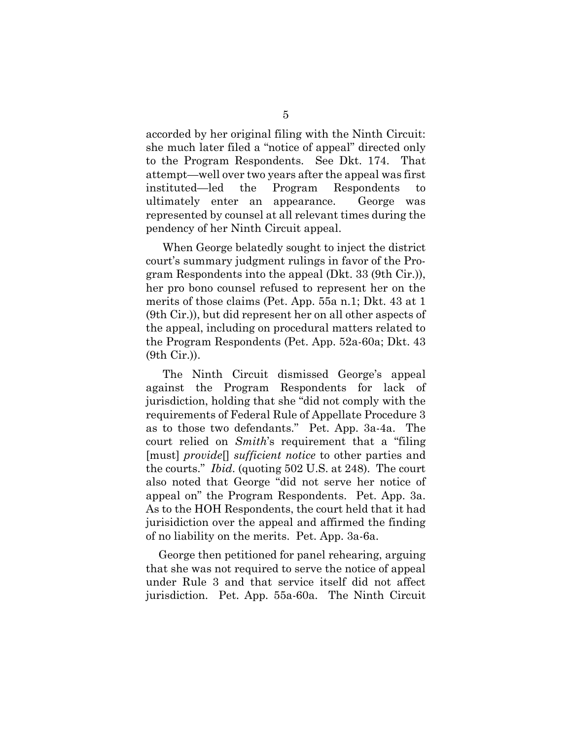accorded by her original filing with the Ninth Circuit: she much later filed a "notice of appeal" directed only to the Program Respondents. See Dkt. 174. That attempt—well over two years after the appeal was first instituted—led the Program Respondents to ultimately enter an appearance. George was represented by counsel at all relevant times during the pendency of her Ninth Circuit appeal.

When George belatedly sought to inject the district court's summary judgment rulings in favor of the Program Respondents into the appeal (Dkt. 33 (9th Cir.)), her pro bono counsel refused to represent her on the merits of those claims (Pet. App. 55a n.1; Dkt. 43 at 1 (9th Cir.)), but did represent her on all other aspects of the appeal, including on procedural matters related to the Program Respondents (Pet. App. 52a-60a; Dkt. 43 (9th Cir.)).

<span id="page-12-0"></span>The Ninth Circuit dismissed George's appeal against the Program Respondents for lack of jurisdiction, holding that she "did not comply with the requirements of Federal Rule of Appellate Procedure 3 as to those two defendants." Pet. App. 3a-4a. The court relied on *Smith*'s requirement that a "filing [must] *provide*[] *sufficient notice* to other parties and the courts." *Ibid*. (quoting 502 U.S. at 248). The court also noted that George "did not serve her notice of appeal on" the Program Respondents. Pet. App. 3a. As to the HOH Respondents, the court held that it had jurisidiction over the appeal and affirmed the finding of no liability on the merits. Pet. App. 3a-6a.

<span id="page-12-1"></span>George then petitioned for panel rehearing, arguing that she was not required to serve the notice of appeal under Rule 3 and that service itself did not affect jurisdiction. Pet. App. 55a-60a. The Ninth Circuit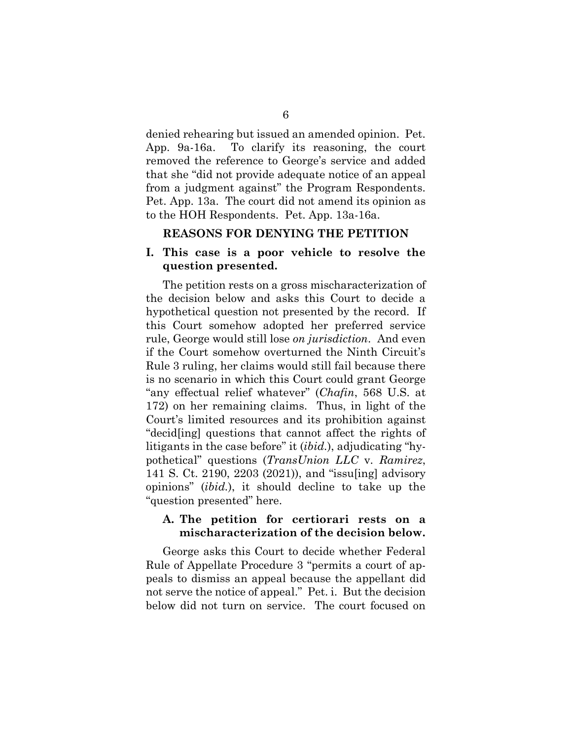denied rehearing but issued an amended opinion. Pet. App. 9a-16a. To clarify its reasoning, the court removed the reference to George's service and added that she "did not provide adequate notice of an appeal from a judgment against" the Program Respondents. Pet. App. 13a. The court did not amend its opinion as to the HOH Respondents. Pet. App. 13a-16a.

#### <span id="page-13-0"></span>**REASONS FOR DENYING THE PETITION**

### <span id="page-13-1"></span>**I. This case is a poor vehicle to resolve the question presented.**

<span id="page-13-3"></span>The petition rests on a gross mischaracterization of the decision below and asks this Court to decide a hypothetical question not presented by the record. If this Court somehow adopted her preferred service rule, George would still lose *on jurisdiction*. And even if the Court somehow overturned the Ninth Circuit's Rule 3 ruling, her claims would still fail because there is no scenario in which this Court could grant George "any effectual relief whatever" (*Chafin*, 568 U.S. at 172) on her remaining claims. Thus, in light of the Court's limited resources and its prohibition against "decid[ing] questions that cannot affect the rights of litigants in the case before" it (*ibid.*), adjudicating "hypothetical" questions (*TransUnion LLC* v. *Ramirez*, 141 S. Ct. 2190, 2203 (2021)), and "issu[ing] advisory opinions" (*ibid.*), it should decline to take up the "question presented" here.

### <span id="page-13-4"></span><span id="page-13-2"></span>**A. The petition for certiorari rests on a mischaracterization of the decision below.**

George asks this Court to decide whether Federal Rule of Appellate Procedure 3 "permits a court of appeals to dismiss an appeal because the appellant did not serve the notice of appeal." Pet. i. But the decision below did not turn on service. The court focused on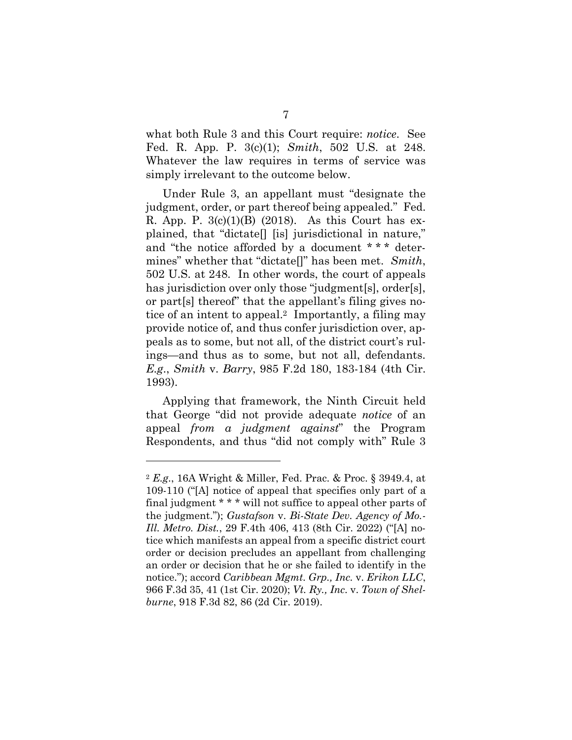<span id="page-14-7"></span><span id="page-14-5"></span><span id="page-14-2"></span>what both Rule 3 and this Court require: *notice*. See Fed. R. App. P. 3(c)(1); *Smith*, 502 U.S. at 248. Whatever the law requires in terms of service was simply irrelevant to the outcome below.

<span id="page-14-8"></span>Under Rule 3, an appellant must "designate the judgment, order, or part thereof being appealed." Fed. R. App. P.  $3(c)(1)(B)$  (2018). As this Court has explained, that "dictate[] [is] jurisdictional in nature," and "the notice afforded by a document \* \* \* determines" whether that "dictate[]" has been met. *Smith*, 502 U.S. at 248. In other words, the court of appeals has jurisdiction over only those "judgment[s], order[s], or part[s] thereof" that the appellant's filing gives notice of an intent to appeal.2 Importantly, a filing may provide notice of, and thus confer jurisdiction over, appeals as to some, but not all, of the district court's rulings—and thus as to some, but not all, defendants. *E.g*., *Smith* v. *Barry*, 985 F.2d 180, 183-184 (4th Cir. 1993).

<span id="page-14-6"></span><span id="page-14-3"></span>Applying that framework, the Ninth Circuit held that George "did not provide adequate *notice* of an appeal *from a judgment against*" the Program Respondents, and thus "did not comply with" Rule 3

<span id="page-14-9"></span><span id="page-14-4"></span><span id="page-14-1"></span><span id="page-14-0"></span><sup>2</sup> *E.g*., 16A Wright & Miller, Fed. Prac. & Proc. § 3949.4, at 109-110 ("[A] notice of appeal that specifies only part of a final judgment \* \* \* will not suffice to appeal other parts of the judgment."); *Gustafson* v. *Bi-State Dev. Agency of Mo.- Ill. Metro. Dist.*, 29 F.4th 406, 413 (8th Cir. 2022) ("[A] notice which manifests an appeal from a specific district court order or decision precludes an appellant from challenging an order or decision that he or she failed to identify in the notice."); accord *Caribbean Mgmt. Grp., Inc.* v. *Erikon LLC*, 966 F.3d 35, 41 (1st Cir. 2020); *Vt. Ry., Inc.* v. *Town of Shelburne*, 918 F.3d 82, 86 (2d Cir. 2019).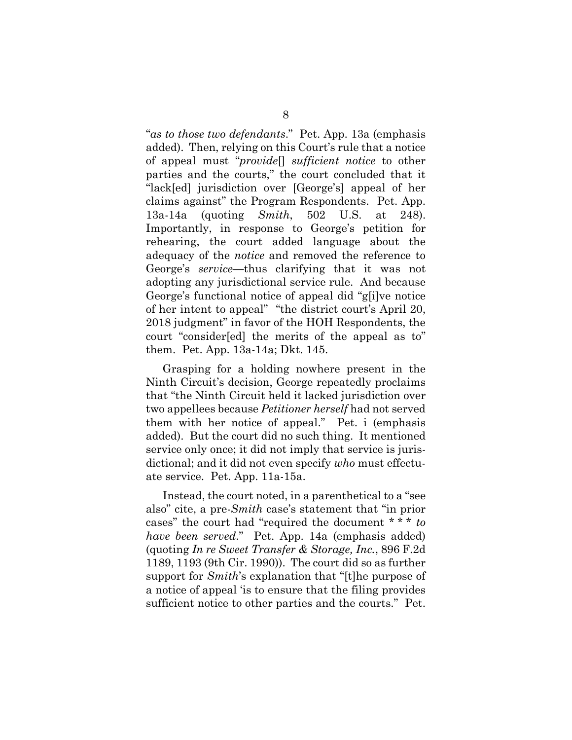"*as to those two defendants*." Pet. App. 13a (emphasis added). Then, relying on this Court's rule that a notice of appeal must "*provide*[] *sufficient notice* to other parties and the courts," the court concluded that it "lack[ed] jurisdiction over [George's] appeal of her claims against" the Program Respondents. Pet. App. 13a-14a (quoting *Smith*, 502 U.S. at 248). Importantly, in response to George's petition for rehearing, the court added language about the adequacy of the *notice* and removed the reference to George's *service*—thus clarifying that it was not adopting any jurisdictional service rule. And because George's functional notice of appeal did "g[i]ve notice of her intent to appeal" "the district court's April 20, 2018 judgment" in favor of the HOH Respondents, the court "consider[ed] the merits of the appeal as to" them. Pet. App. 13a-14a; Dkt. 145.

Grasping for a holding nowhere present in the Ninth Circuit's decision, George repeatedly proclaims that "the Ninth Circuit held it lacked jurisdiction over two appellees because *Petitioner herself* had not served them with her notice of appeal." Pet. i (emphasis added). But the court did no such thing. It mentioned service only once; it did not imply that service is jurisdictional; and it did not even specify *who* must effectuate service. Pet. App. 11a-15a.

Instead, the court noted, in a parenthetical to a "see also" cite, a pre-*Smith* case's statement that "in prior cases" the court had "required the document \* \* \* *to have been served*." Pet. App. 14a (emphasis added) (quoting *In re Sweet Transfer & Storage, Inc.*, 896 F.2d 1189, 1193 (9th Cir. 1990)). The court did so as further support for *Smith*'s explanation that "[t]he purpose of a notice of appeal 'is to ensure that the filing provides sufficient notice to other parties and the courts." Pet.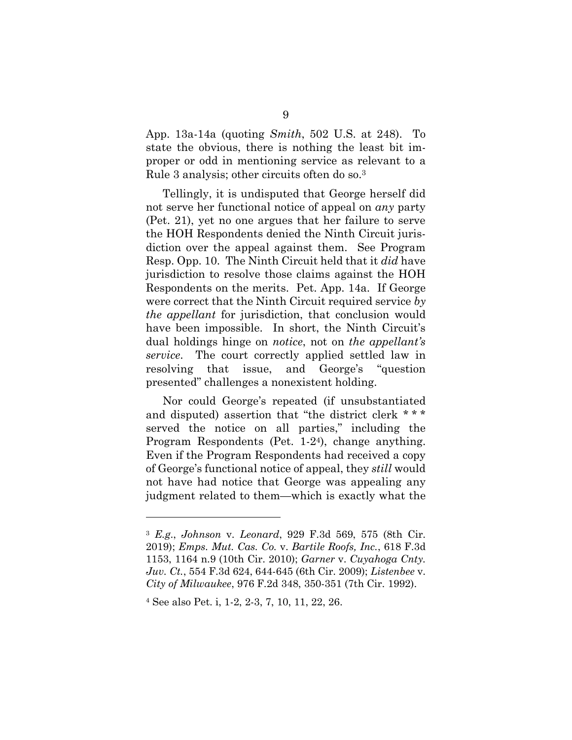App. 13a-14a (quoting *Smith*, 502 U.S. at 248). To state the obvious, there is nothing the least bit improper or odd in mentioning service as relevant to a Rule 3 analysis; other circuits often do so.<sup>3</sup>

<span id="page-16-4"></span>Tellingly, it is undisputed that George herself did not serve her functional notice of appeal on *any* party (Pet. 21), yet no one argues that her failure to serve the HOH Respondents denied the Ninth Circuit jurisdiction over the appeal against them. See Program Resp. Opp. 10. The Ninth Circuit held that it *did* have jurisdiction to resolve those claims against the HOH Respondents on the merits. Pet. App. 14a. If George were correct that the Ninth Circuit required service *by the appellant* for jurisdiction, that conclusion would have been impossible. In short, the Ninth Circuit's dual holdings hinge on *notice*, not on *the appellant's service*. The court correctly applied settled law in resolving that issue, and George's "question presented" challenges a nonexistent holding.

Nor could George's repeated (if unsubstantiated and disputed) assertion that "the district clerk \* \* \* served the notice on all parties," including the Program Respondents (Pet. 1-24), change anything. Even if the Program Respondents had received a copy of George's functional notice of appeal, they *still* would not have had notice that George was appealing any judgment related to them—which is exactly what the

<span id="page-16-2"></span><span id="page-16-1"></span><span id="page-16-0"></span><sup>3</sup> *E.g*., *Johnson* v. *Leonard*, 929 F.3d 569, 575 (8th Cir. 2019); *Emps. Mut. Cas. Co.* v. *Bartile Roofs, Inc.*, 618 F.3d 1153, 1164 n.9 (10th Cir. 2010); *Garner* v. *Cuyahoga Cnty. Juv. Ct.*, 554 F.3d 624, 644-645 (6th Cir. 2009); *Listenbee* v. *City of Milwaukee*, 976 F.2d 348, 350-351 (7th Cir. 1992).

<span id="page-16-3"></span><sup>4</sup> See also Pet. i, 1-2, 2-3, 7, 10, 11, 22, 26.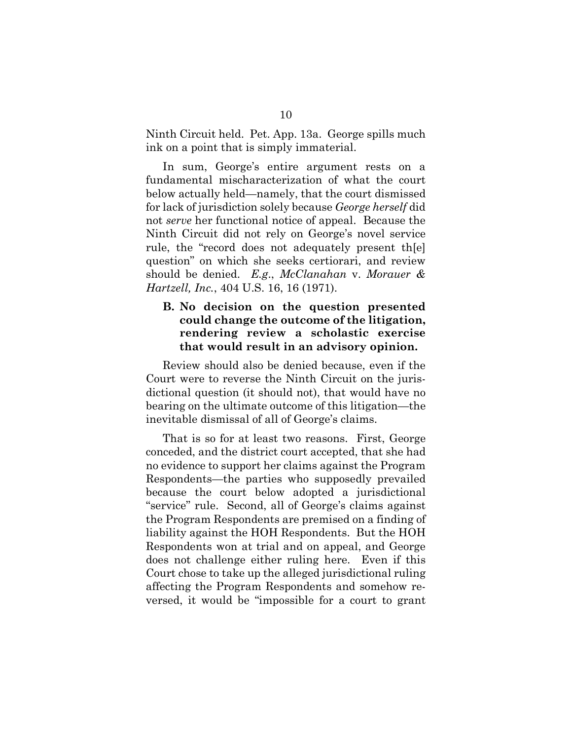Ninth Circuit held. Pet. App. 13a. George spills much ink on a point that is simply immaterial.

In sum, George's entire argument rests on a fundamental mischaracterization of what the court below actually held—namely, that the court dismissed for lack of jurisdiction solely because *George herself* did not *serve* her functional notice of appeal. Because the Ninth Circuit did not rely on George's novel service rule, the "record does not adequately present th[e] question" on which she seeks certiorari, and review should be denied. *E.g*., *McClanahan* v. *Morauer & Hartzell, Inc.*, 404 U.S. 16, 16 (1971).

## <span id="page-17-1"></span><span id="page-17-0"></span>**B. No decision on the question presented could change the outcome of the litigation, rendering review a scholastic exercise that would result in an advisory opinion.**

Review should also be denied because, even if the Court were to reverse the Ninth Circuit on the jurisdictional question (it should not), that would have no bearing on the ultimate outcome of this litigation—the inevitable dismissal of all of George's claims.

That is so for at least two reasons. First, George conceded, and the district court accepted, that she had no evidence to support her claims against the Program Respondents—the parties who supposedly prevailed because the court below adopted a jurisdictional "service" rule. Second, all of George's claims against the Program Respondents are premised on a finding of liability against the HOH Respondents. But the HOH Respondents won at trial and on appeal, and George does not challenge either ruling here. Even if this Court chose to take up the alleged jurisdictional ruling affecting the Program Respondents and somehow reversed, it would be "impossible for a court to grant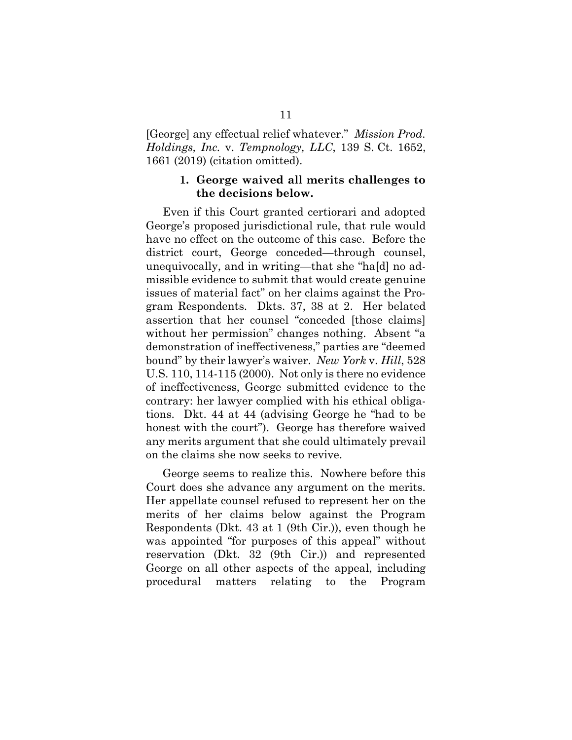[George] any effectual relief whatever." *Mission Prod. Holdings, Inc.* v. *Tempnology, LLC*, 139 S. Ct. 1652, 1661 (2019) (citation omitted).

### <span id="page-18-1"></span>**1. George waived all merits challenges to the decisions below.**

<span id="page-18-0"></span>Even if this Court granted certiorari and adopted George's proposed jurisdictional rule, that rule would have no effect on the outcome of this case. Before the district court, George conceded—through counsel, unequivocally, and in writing—that she "ha[d] no admissible evidence to submit that would create genuine issues of material fact" on her claims against the Program Respondents. Dkts. 37, 38 at 2. Her belated assertion that her counsel "conceded [those claims] without her permission" changes nothing. Absent "a demonstration of ineffectiveness," parties are "deemed bound" by their lawyer's waiver. *New York* v. *Hill*, 528 U.S. 110, 114-115 (2000). Not only is there no evidence of ineffectiveness, George submitted evidence to the contrary: her lawyer complied with his ethical obligations. Dkt. 44 at 44 (advising George he "had to be honest with the court"). George has therefore waived any merits argument that she could ultimately prevail on the claims she now seeks to revive.

<span id="page-18-2"></span>George seems to realize this. Nowhere before this Court does she advance any argument on the merits. Her appellate counsel refused to represent her on the merits of her claims below against the Program Respondents (Dkt. 43 at 1 (9th Cir.)), even though he was appointed "for purposes of this appeal" without reservation (Dkt. 32 (9th Cir.)) and represented George on all other aspects of the appeal, including procedural matters relating to the Program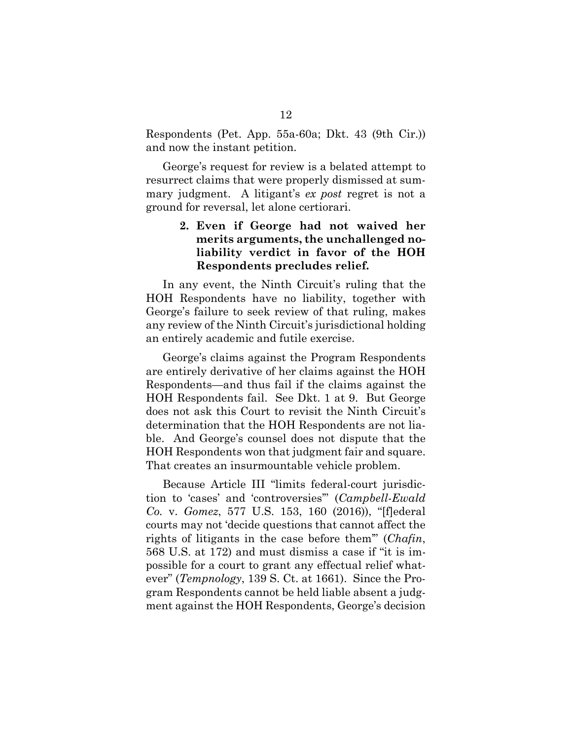Respondents (Pet. App. 55a-60a; Dkt. 43 (9th Cir.)) and now the instant petition.

George's request for review is a belated attempt to resurrect claims that were properly dismissed at summary judgment. A litigant's *ex post* regret is not a ground for reversal, let alone certiorari.

## <span id="page-19-0"></span>**2. Even if George had not waived her merits arguments, the unchallenged noliability verdict in favor of the HOH Respondents precludes relief.**

In any event, the Ninth Circuit's ruling that the HOH Respondents have no liability, together with George's failure to seek review of that ruling, makes any review of the Ninth Circuit's jurisdictional holding an entirely academic and futile exercise.

George's claims against the Program Respondents are entirely derivative of her claims against the HOH Respondents—and thus fail if the claims against the HOH Respondents fail. See Dkt. 1 at 9. But George does not ask this Court to revisit the Ninth Circuit's determination that the HOH Respondents are not liable. And George's counsel does not dispute that the HOH Respondents won that judgment fair and square. That creates an insurmountable vehicle problem.

<span id="page-19-3"></span><span id="page-19-2"></span><span id="page-19-1"></span>Because Article III "limits federal-court jurisdiction to 'cases' and 'controversies'" (*Campbell-Ewald Co.* v. *Gomez*, 577 U.S. 153, 160 (2016)), "[f]ederal courts may not 'decide questions that cannot affect the rights of litigants in the case before them'" (*Chafin*, 568 U.S. at 172) and must dismiss a case if "it is impossible for a court to grant any effectual relief whatever" (*Tempnology*, 139 S. Ct. at 1661). Since the Program Respondents cannot be held liable absent a judgment against the HOH Respondents, George's decision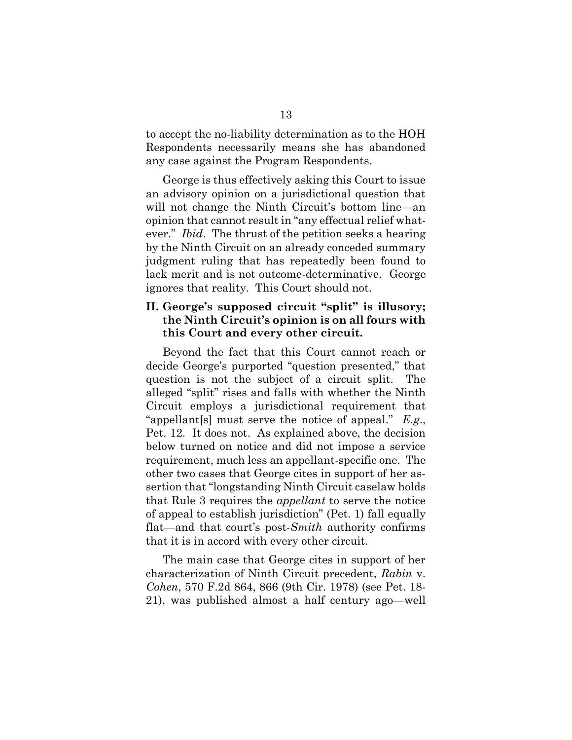to accept the no-liability determination as to the HOH Respondents necessarily means she has abandoned any case against the Program Respondents.

George is thus effectively asking this Court to issue an advisory opinion on a jurisdictional question that will not change the Ninth Circuit's bottom line—an opinion that cannot result in "any effectual relief whatever." *Ibid*. The thrust of the petition seeks a hearing by the Ninth Circuit on an already conceded summary judgment ruling that has repeatedly been found to lack merit and is not outcome-determinative. George ignores that reality. This Court should not.

## <span id="page-20-0"></span>**II. George's supposed circuit "split" is illusory; the Ninth Circuit's opinion is on all fours with this Court and every other circuit.**

Beyond the fact that this Court cannot reach or decide George's purported "question presented," that question is not the subject of a circuit split. The alleged "split" rises and falls with whether the Ninth Circuit employs a jurisdictional requirement that "appellant[s] must serve the notice of appeal." *E.g*., Pet. 12. It does not. As explained above, the decision below turned on notice and did not impose a service requirement, much less an appellant-specific one. The other two cases that George cites in support of her assertion that "longstanding Ninth Circuit caselaw holds that Rule 3 requires the *appellant* to serve the notice of appeal to establish jurisdiction" (Pet. 1) fall equally flat—and that court's post-*Smith* authority confirms that it is in accord with every other circuit.

<span id="page-20-2"></span><span id="page-20-1"></span>The main case that George cites in support of her characterization of Ninth Circuit precedent, *Rabin* v. *Cohen*, 570 F.2d 864, 866 (9th Cir. 1978) (see Pet. 18- 21), was published almost a half century ago—well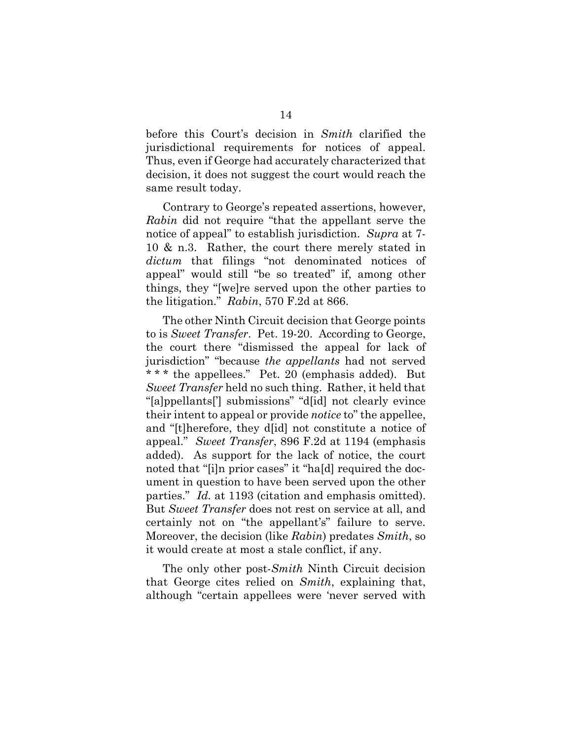<span id="page-21-1"></span>before this Court's decision in *Smith* clarified the jurisdictional requirements for notices of appeal. Thus, even if George had accurately characterized that decision, it does not suggest the court would reach the same result today.

Contrary to George's repeated assertions, however, *Rabin* did not require "that the appellant serve the notice of appeal" to establish jurisdiction. *Supra* at 7- 10 & n.3. Rather, the court there merely stated in *dictum* that filings "not denominated notices of appeal" would still "be so treated" if, among other things, they "[we]re served upon the other parties to the litigation." *Rabin*, 570 F.2d at 866.

<span id="page-21-3"></span>The other Ninth Circuit decision that George points to is *Sweet Transfer*.Pet. 19-20. According to George, the court there "dismissed the appeal for lack of jurisdiction" "because *the appellants* had not served \* \* \* the appellees." Pet. 20 (emphasis added). But *Sweet Transfer* held no such thing. Rather, it held that "[a]ppellants['] submissions" "d[id] not clearly evince their intent to appeal or provide *notice* to" the appellee, and "[t]herefore, they d[id] not constitute a notice of appeal." *Sweet Transfer*, 896 F.2d at 1194 (emphasis added). As support for the lack of notice, the court noted that "[i]n prior cases" it "ha[d] required the document in question to have been served upon the other parties." *Id.* at 1193 (citation and emphasis omitted). But *Sweet Transfer* does not rest on service at all, and certainly not on "the appellant's" failure to serve. Moreover, the decision (like *Rabin*) predates *Smith*, so it would create at most a stale conflict, if any.

<span id="page-21-4"></span><span id="page-21-2"></span><span id="page-21-0"></span>The only other post-*Smith* Ninth Circuit decision that George cites relied on *Smith*, explaining that, although "certain appellees were 'never served with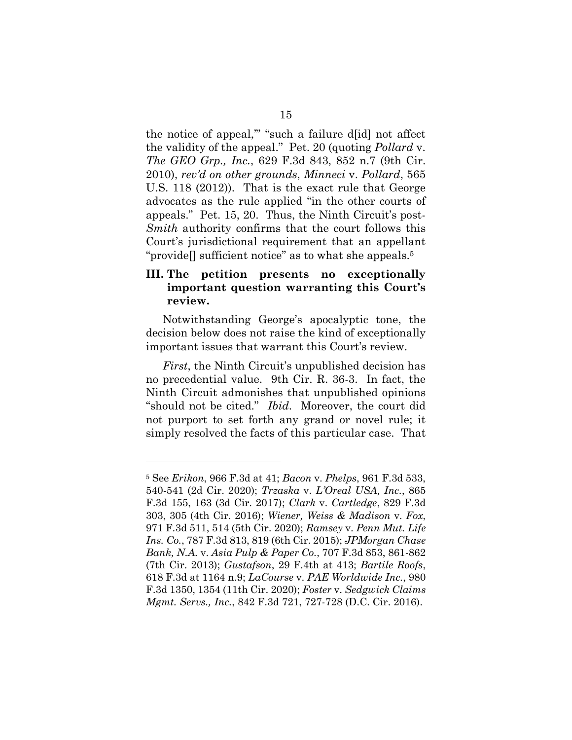the notice of appeal,'" "such a failure d[id] not affect the validity of the appeal." Pet. 20 (quoting *Pollard* v. *The GEO Grp., Inc.*, 629 F.3d 843, 852 n.7 (9th Cir. 2010), *rev'd on other grounds*, *Minneci* v. *Pollard*, 565 U.S. 118 (2012)). That is the exact rule that George advocates as the rule applied "in the other courts of appeals." Pet. 15, 20. Thus, the Ninth Circuit's post-*Smith* authority confirms that the court follows this Court's jurisdictional requirement that an appellant "provide<sup>[]</sup> sufficient notice" as to what she appeals.<sup>5</sup>

## <span id="page-22-0"></span>**III. The petition presents no exceptionally important question warranting this Court's review.**

Notwithstanding George's apocalyptic tone, the decision below does not raise the kind of exceptionally important issues that warrant this Court's review.

<span id="page-22-12"></span>*First*, the Ninth Circuit's unpublished decision has no precedential value. 9th Cir. R. 36-3. In fact, the Ninth Circuit admonishes that unpublished opinions "should not be cited." *Ibid*. Moreover, the court did not purport to set forth any grand or novel rule; it simply resolved the facts of this particular case. That

<span id="page-22-11"></span><span id="page-22-10"></span><span id="page-22-9"></span><span id="page-22-8"></span><span id="page-22-7"></span><span id="page-22-6"></span><span id="page-22-5"></span><span id="page-22-4"></span><span id="page-22-3"></span><span id="page-22-2"></span><span id="page-22-1"></span><sup>5</sup> See *Erikon*, 966 F.3d at 41; *Bacon* v. *Phelps*, 961 F.3d 533, 540-541 (2d Cir. 2020); *Trzaska* v. *L'Oreal USA, Inc.*, 865 F.3d 155, 163 (3d Cir. 2017); *Clark* v. *Cartledge*, 829 F.3d 303, 305 (4th Cir. 2016); *Wiener, Weiss & Madison* v. *Fox*, 971 F.3d 511, 514 (5th Cir. 2020); *Ramsey* v. *Penn Mut. Life Ins. Co.*, 787 F.3d 813, 819 (6th Cir. 2015); *JPMorgan Chase Bank, N.A.* v. *Asia Pulp & Paper Co.*, 707 F.3d 853, 861-862 (7th Cir. 2013); *Gustafson*, 29 F.4th at 413; *Bartile Roofs*, 618 F.3d at 1164 n.9; *LaCourse* v. *PAE Worldwide Inc.*, 980 F.3d 1350, 1354 (11th Cir. 2020); *Foster* v. *Sedgwick Claims Mgmt. Servs., Inc.*, 842 F.3d 721, 727-728 (D.C. Cir. 2016).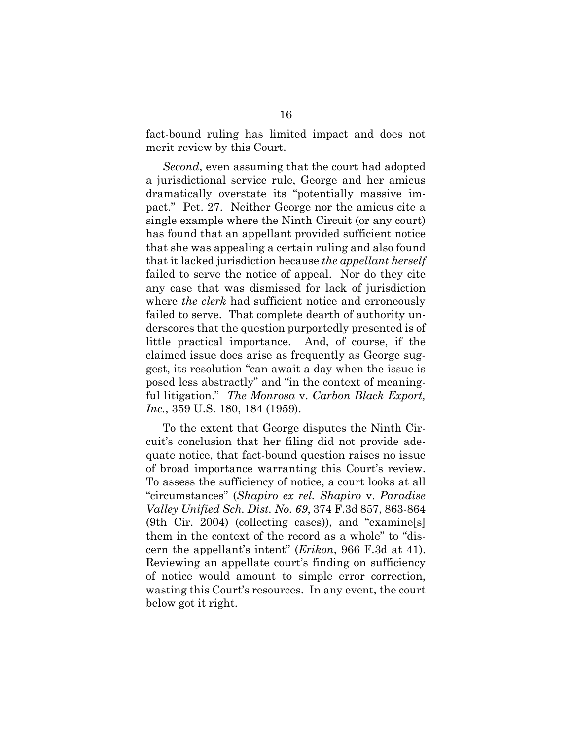fact-bound ruling has limited impact and does not merit review by this Court.

*Second*, even assuming that the court had adopted a jurisdictional service rule, George and her amicus dramatically overstate its "potentially massive impact." Pet. 27. Neither George nor the amicus cite a single example where the Ninth Circuit (or any court) has found that an appellant provided sufficient notice that she was appealing a certain ruling and also found that it lacked jurisdiction because *the appellant herself* failed to serve the notice of appeal. Nor do they cite any case that was dismissed for lack of jurisdiction where *the clerk* had sufficient notice and erroneously failed to serve. That complete dearth of authority underscores that the question purportedly presented is of little practical importance. And, of course, if the claimed issue does arise as frequently as George suggest, its resolution "can await a day when the issue is posed less abstractly" and "in the context of meaningful litigation." *The Monrosa* v. *Carbon Black Export, Inc.*, 359 U.S. 180, 184 (1959).

<span id="page-23-2"></span><span id="page-23-1"></span><span id="page-23-0"></span>To the extent that George disputes the Ninth Circuit's conclusion that her filing did not provide adequate notice, that fact-bound question raises no issue of broad importance warranting this Court's review. To assess the sufficiency of notice, a court looks at all "circumstances" (*Shapiro ex rel. Shapiro* v. *Paradise Valley Unified Sch. Dist. No. 69*, 374 F.3d 857, 863-864 (9th Cir. 2004) (collecting cases)), and "examine[s] them in the context of the record as a whole" to "discern the appellant's intent" (*Erikon*, 966 F.3d at 41). Reviewing an appellate court's finding on sufficiency of notice would amount to simple error correction, wasting this Court's resources. In any event, the court below got it right.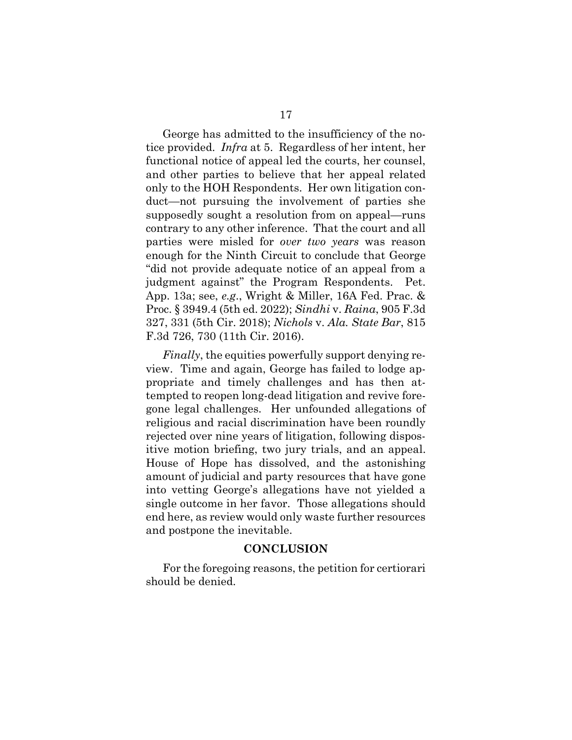George has admitted to the insufficiency of the notice provided. *Infra* at 5. Regardless of her intent, her functional notice of appeal led the courts, her counsel, and other parties to believe that her appeal related only to the HOH Respondents. Her own litigation conduct—not pursuing the involvement of parties she supposedly sought a resolution from on appeal—runs contrary to any other inference. That the court and all parties were misled for *over two years* was reason enough for the Ninth Circuit to conclude that George "did not provide adequate notice of an appeal from a judgment against" the Program Respondents. Pet. App. 13a; see, *e.g*., Wright & Miller, 16A Fed. Prac. & Proc. § 3949.4 (5th ed. 2022); *Sindhi* v. *Raina*, 905 F.3d 327, 331 (5th Cir. 2018); *Nichols* v. *Ala. State Bar*, 815 F.3d 726, 730 (11th Cir. 2016).

<span id="page-24-3"></span><span id="page-24-2"></span><span id="page-24-1"></span>*Finally*, the equities powerfully support denying review. Time and again, George has failed to lodge appropriate and timely challenges and has then attempted to reopen long-dead litigation and revive foregone legal challenges. Her unfounded allegations of religious and racial discrimination have been roundly rejected over nine years of litigation, following dispositive motion briefing, two jury trials, and an appeal. House of Hope has dissolved, and the astonishing amount of judicial and party resources that have gone into vetting George's allegations have not yielded a single outcome in her favor. Those allegations should end here, as review would only waste further resources and postpone the inevitable.

#### **CONCLUSION**

<span id="page-24-0"></span>For the foregoing reasons, the petition for certiorari should be denied.